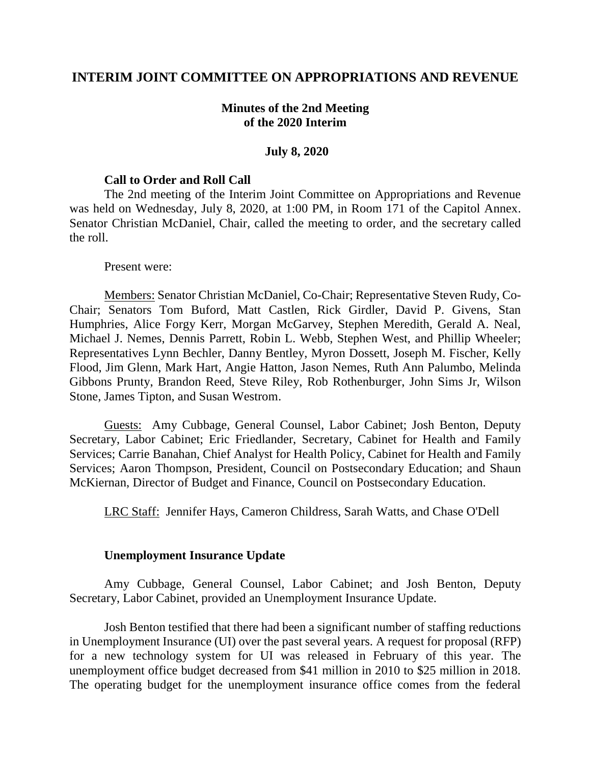## **INTERIM JOINT COMMITTEE ON APPROPRIATIONS AND REVENUE**

### **Minutes of the 2nd Meeting of the 2020 Interim**

#### **July 8, 2020**

#### **Call to Order and Roll Call**

The 2nd meeting of the Interim Joint Committee on Appropriations and Revenue was held on Wednesday, July 8, 2020, at 1:00 PM, in Room 171 of the Capitol Annex. Senator Christian McDaniel, Chair, called the meeting to order, and the secretary called the roll.

#### Present were:

Members: Senator Christian McDaniel, Co-Chair; Representative Steven Rudy, Co-Chair; Senators Tom Buford, Matt Castlen, Rick Girdler, David P. Givens, Stan Humphries, Alice Forgy Kerr, Morgan McGarvey, Stephen Meredith, Gerald A. Neal, Michael J. Nemes, Dennis Parrett, Robin L. Webb, Stephen West, and Phillip Wheeler; Representatives Lynn Bechler, Danny Bentley, Myron Dossett, Joseph M. Fischer, Kelly Flood, Jim Glenn, Mark Hart, Angie Hatton, Jason Nemes, Ruth Ann Palumbo, Melinda Gibbons Prunty, Brandon Reed, Steve Riley, Rob Rothenburger, John Sims Jr, Wilson Stone, James Tipton, and Susan Westrom.

Guests: Amy Cubbage, General Counsel, Labor Cabinet; Josh Benton, Deputy Secretary, Labor Cabinet; Eric Friedlander, Secretary, Cabinet for Health and Family Services; Carrie Banahan, Chief Analyst for Health Policy, Cabinet for Health and Family Services; Aaron Thompson, President, Council on Postsecondary Education; and Shaun McKiernan, Director of Budget and Finance, Council on Postsecondary Education.

LRC Staff: Jennifer Hays, Cameron Childress, Sarah Watts, and Chase O'Dell

#### **Unemployment Insurance Update**

Amy Cubbage, General Counsel, Labor Cabinet; and Josh Benton, Deputy Secretary, Labor Cabinet, provided an Unemployment Insurance Update.

Josh Benton testified that there had been a significant number of staffing reductions in Unemployment Insurance (UI) over the past several years. A request for proposal (RFP) for a new technology system for UI was released in February of this year. The unemployment office budget decreased from \$41 million in 2010 to \$25 million in 2018. The operating budget for the unemployment insurance office comes from the federal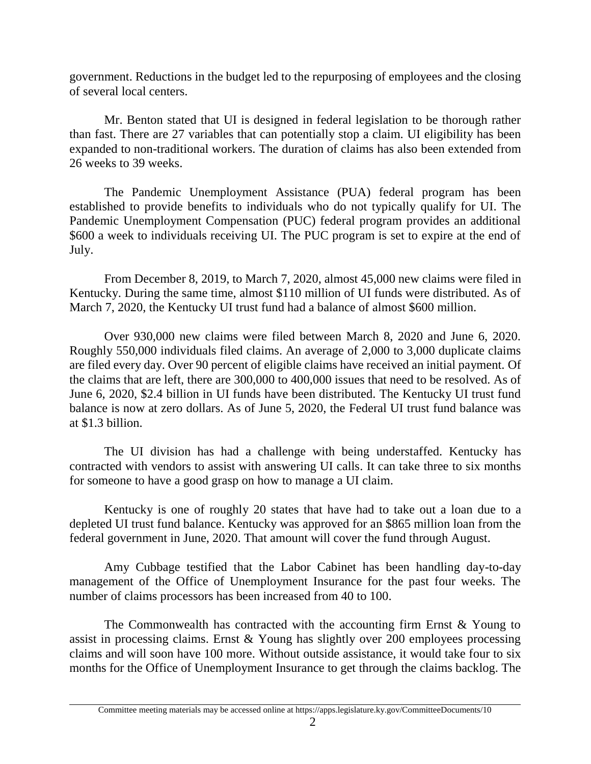government. Reductions in the budget led to the repurposing of employees and the closing of several local centers.

Mr. Benton stated that UI is designed in federal legislation to be thorough rather than fast. There are 27 variables that can potentially stop a claim. UI eligibility has been expanded to non-traditional workers. The duration of claims has also been extended from 26 weeks to 39 weeks.

The Pandemic Unemployment Assistance (PUA) federal program has been established to provide benefits to individuals who do not typically qualify for UI. The Pandemic Unemployment Compensation (PUC) federal program provides an additional \$600 a week to individuals receiving UI. The PUC program is set to expire at the end of July.

From December 8, 2019, to March 7, 2020, almost 45,000 new claims were filed in Kentucky. During the same time, almost \$110 million of UI funds were distributed. As of March 7, 2020, the Kentucky UI trust fund had a balance of almost \$600 million.

Over 930,000 new claims were filed between March 8, 2020 and June 6, 2020. Roughly 550,000 individuals filed claims. An average of 2,000 to 3,000 duplicate claims are filed every day. Over 90 percent of eligible claims have received an initial payment. Of the claims that are left, there are 300,000 to 400,000 issues that need to be resolved. As of June 6, 2020, \$2.4 billion in UI funds have been distributed. The Kentucky UI trust fund balance is now at zero dollars. As of June 5, 2020, the Federal UI trust fund balance was at \$1.3 billion.

The UI division has had a challenge with being understaffed. Kentucky has contracted with vendors to assist with answering UI calls. It can take three to six months for someone to have a good grasp on how to manage a UI claim.

Kentucky is one of roughly 20 states that have had to take out a loan due to a depleted UI trust fund balance. Kentucky was approved for an \$865 million loan from the federal government in June, 2020. That amount will cover the fund through August.

Amy Cubbage testified that the Labor Cabinet has been handling day-to-day management of the Office of Unemployment Insurance for the past four weeks. The number of claims processors has been increased from 40 to 100.

The Commonwealth has contracted with the accounting firm Ernst & Young to assist in processing claims. Ernst & Young has slightly over 200 employees processing claims and will soon have 100 more. Without outside assistance, it would take four to six months for the Office of Unemployment Insurance to get through the claims backlog. The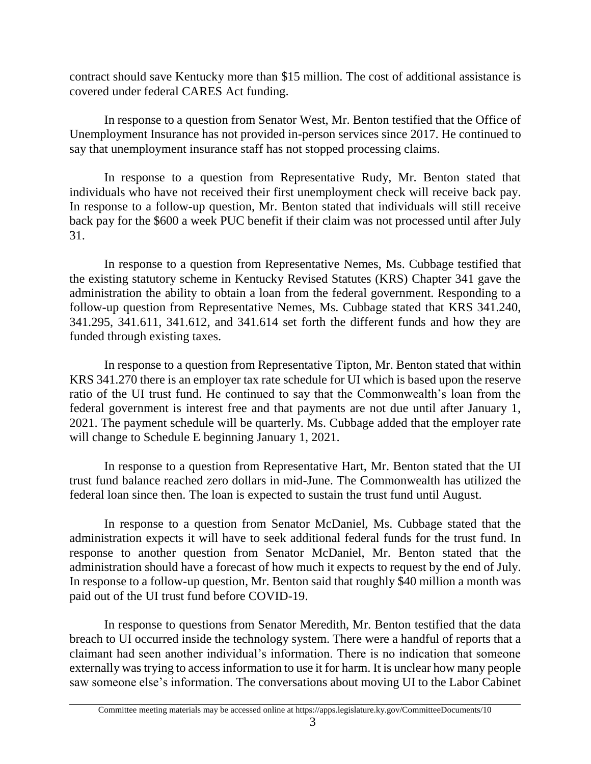contract should save Kentucky more than \$15 million. The cost of additional assistance is covered under federal CARES Act funding.

In response to a question from Senator West, Mr. Benton testified that the Office of Unemployment Insurance has not provided in-person services since 2017. He continued to say that unemployment insurance staff has not stopped processing claims.

In response to a question from Representative Rudy, Mr. Benton stated that individuals who have not received their first unemployment check will receive back pay. In response to a follow-up question, Mr. Benton stated that individuals will still receive back pay for the \$600 a week PUC benefit if their claim was not processed until after July 31.

In response to a question from Representative Nemes, Ms. Cubbage testified that the existing statutory scheme in Kentucky Revised Statutes (KRS) Chapter 341 gave the administration the ability to obtain a loan from the federal government. Responding to a follow-up question from Representative Nemes, Ms. Cubbage stated that KRS 341.240, 341.295, 341.611, 341.612, and 341.614 set forth the different funds and how they are funded through existing taxes.

In response to a question from Representative Tipton, Mr. Benton stated that within KRS 341.270 there is an employer tax rate schedule for UI which is based upon the reserve ratio of the UI trust fund. He continued to say that the Commonwealth's loan from the federal government is interest free and that payments are not due until after January 1, 2021. The payment schedule will be quarterly. Ms. Cubbage added that the employer rate will change to Schedule E beginning January 1, 2021.

In response to a question from Representative Hart, Mr. Benton stated that the UI trust fund balance reached zero dollars in mid-June. The Commonwealth has utilized the federal loan since then. The loan is expected to sustain the trust fund until August.

In response to a question from Senator McDaniel, Ms. Cubbage stated that the administration expects it will have to seek additional federal funds for the trust fund. In response to another question from Senator McDaniel, Mr. Benton stated that the administration should have a forecast of how much it expects to request by the end of July. In response to a follow-up question, Mr. Benton said that roughly \$40 million a month was paid out of the UI trust fund before COVID-19.

In response to questions from Senator Meredith, Mr. Benton testified that the data breach to UI occurred inside the technology system. There were a handful of reports that a claimant had seen another individual's information. There is no indication that someone externally was trying to access information to use it for harm. It is unclear how many people saw someone else's information. The conversations about moving UI to the Labor Cabinet

Committee meeting materials may be accessed online at https://apps.legislature.ky.gov/CommitteeDocuments/10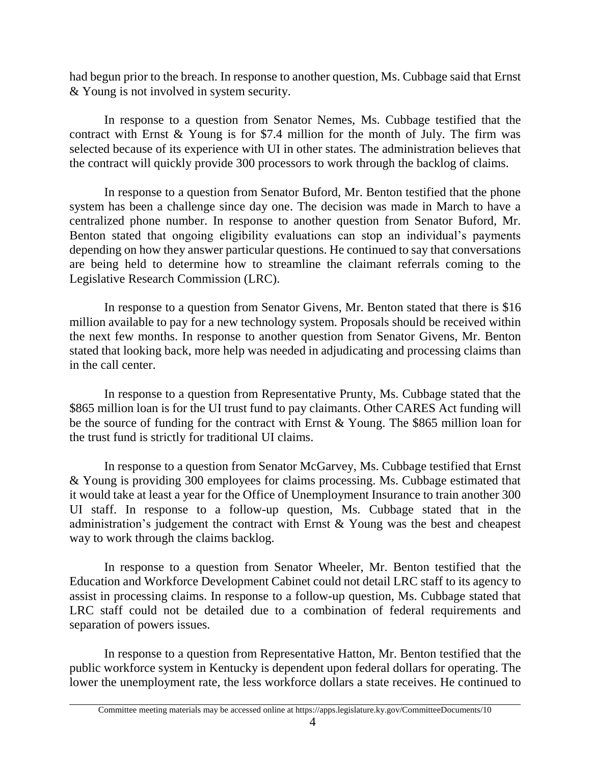had begun prior to the breach. In response to another question, Ms. Cubbage said that Ernst & Young is not involved in system security.

In response to a question from Senator Nemes, Ms. Cubbage testified that the contract with Ernst & Young is for \$7.4 million for the month of July. The firm was selected because of its experience with UI in other states. The administration believes that the contract will quickly provide 300 processors to work through the backlog of claims.

In response to a question from Senator Buford, Mr. Benton testified that the phone system has been a challenge since day one. The decision was made in March to have a centralized phone number. In response to another question from Senator Buford, Mr. Benton stated that ongoing eligibility evaluations can stop an individual's payments depending on how they answer particular questions. He continued to say that conversations are being held to determine how to streamline the claimant referrals coming to the Legislative Research Commission (LRC).

In response to a question from Senator Givens, Mr. Benton stated that there is \$16 million available to pay for a new technology system. Proposals should be received within the next few months. In response to another question from Senator Givens, Mr. Benton stated that looking back, more help was needed in adjudicating and processing claims than in the call center.

In response to a question from Representative Prunty, Ms. Cubbage stated that the \$865 million loan is for the UI trust fund to pay claimants. Other CARES Act funding will be the source of funding for the contract with Ernst & Young. The \$865 million loan for the trust fund is strictly for traditional UI claims.

In response to a question from Senator McGarvey, Ms. Cubbage testified that Ernst & Young is providing 300 employees for claims processing. Ms. Cubbage estimated that it would take at least a year for the Office of Unemployment Insurance to train another 300 UI staff. In response to a follow-up question, Ms. Cubbage stated that in the administration's judgement the contract with Ernst & Young was the best and cheapest way to work through the claims backlog.

In response to a question from Senator Wheeler, Mr. Benton testified that the Education and Workforce Development Cabinet could not detail LRC staff to its agency to assist in processing claims. In response to a follow-up question, Ms. Cubbage stated that LRC staff could not be detailed due to a combination of federal requirements and separation of powers issues.

In response to a question from Representative Hatton, Mr. Benton testified that the public workforce system in Kentucky is dependent upon federal dollars for operating. The lower the unemployment rate, the less workforce dollars a state receives. He continued to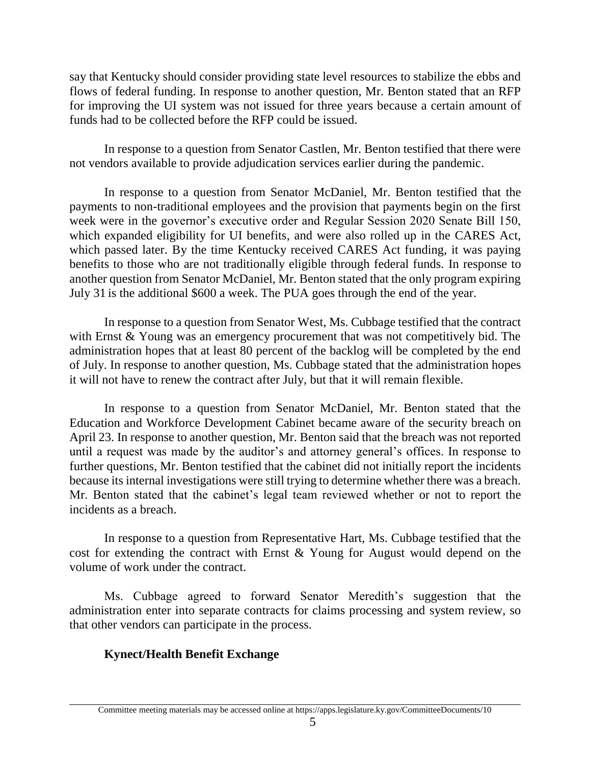say that Kentucky should consider providing state level resources to stabilize the ebbs and flows of federal funding. In response to another question, Mr. Benton stated that an RFP for improving the UI system was not issued for three years because a certain amount of funds had to be collected before the RFP could be issued.

In response to a question from Senator Castlen, Mr. Benton testified that there were not vendors available to provide adjudication services earlier during the pandemic.

In response to a question from Senator McDaniel, Mr. Benton testified that the payments to non-traditional employees and the provision that payments begin on the first week were in the governor's executive order and Regular Session 2020 Senate Bill 150, which expanded eligibility for UI benefits, and were also rolled up in the CARES Act, which passed later. By the time Kentucky received CARES Act funding, it was paying benefits to those who are not traditionally eligible through federal funds. In response to another question from Senator McDaniel, Mr. Benton stated that the only program expiring July 31 is the additional \$600 a week. The PUA goes through the end of the year.

In response to a question from Senator West, Ms. Cubbage testified that the contract with Ernst & Young was an emergency procurement that was not competitively bid. The administration hopes that at least 80 percent of the backlog will be completed by the end of July. In response to another question, Ms. Cubbage stated that the administration hopes it will not have to renew the contract after July, but that it will remain flexible.

In response to a question from Senator McDaniel, Mr. Benton stated that the Education and Workforce Development Cabinet became aware of the security breach on April 23. In response to another question, Mr. Benton said that the breach was not reported until a request was made by the auditor's and attorney general's offices. In response to further questions, Mr. Benton testified that the cabinet did not initially report the incidents because its internal investigations were still trying to determine whether there was a breach. Mr. Benton stated that the cabinet's legal team reviewed whether or not to report the incidents as a breach.

In response to a question from Representative Hart, Ms. Cubbage testified that the cost for extending the contract with Ernst & Young for August would depend on the volume of work under the contract.

Ms. Cubbage agreed to forward Senator Meredith's suggestion that the administration enter into separate contracts for claims processing and system review, so that other vendors can participate in the process.

# **Kynect/Health Benefit Exchange**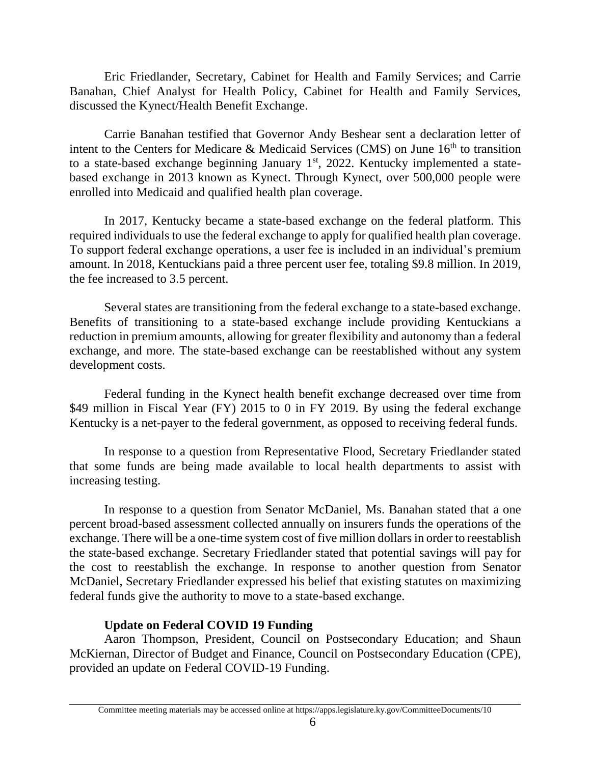Eric Friedlander, Secretary, Cabinet for Health and Family Services; and Carrie Banahan, Chief Analyst for Health Policy, Cabinet for Health and Family Services, discussed the Kynect/Health Benefit Exchange.

Carrie Banahan testified that Governor Andy Beshear sent a declaration letter of intent to the Centers for Medicare & Medicaid Services (CMS) on June  $16<sup>th</sup>$  to transition to a state-based exchange beginning January 1<sup>st</sup>, 2022. Kentucky implemented a statebased exchange in 2013 known as Kynect. Through Kynect, over 500,000 people were enrolled into Medicaid and qualified health plan coverage.

In 2017, Kentucky became a state-based exchange on the federal platform. This required individuals to use the federal exchange to apply for qualified health plan coverage. To support federal exchange operations, a user fee is included in an individual's premium amount. In 2018, Kentuckians paid a three percent user fee, totaling \$9.8 million. In 2019, the fee increased to 3.5 percent.

Several states are transitioning from the federal exchange to a state-based exchange. Benefits of transitioning to a state-based exchange include providing Kentuckians a reduction in premium amounts, allowing for greater flexibility and autonomy than a federal exchange, and more. The state-based exchange can be reestablished without any system development costs.

Federal funding in the Kynect health benefit exchange decreased over time from \$49 million in Fiscal Year (FY) 2015 to 0 in FY 2019. By using the federal exchange Kentucky is a net-payer to the federal government, as opposed to receiving federal funds.

In response to a question from Representative Flood, Secretary Friedlander stated that some funds are being made available to local health departments to assist with increasing testing.

In response to a question from Senator McDaniel, Ms. Banahan stated that a one percent broad-based assessment collected annually on insurers funds the operations of the exchange. There will be a one-time system cost of five million dollars in order to reestablish the state-based exchange. Secretary Friedlander stated that potential savings will pay for the cost to reestablish the exchange. In response to another question from Senator McDaniel, Secretary Friedlander expressed his belief that existing statutes on maximizing federal funds give the authority to move to a state-based exchange.

## **Update on Federal COVID 19 Funding**

Aaron Thompson, President, Council on Postsecondary Education; and Shaun McKiernan, Director of Budget and Finance, Council on Postsecondary Education (CPE), provided an update on Federal COVID-19 Funding.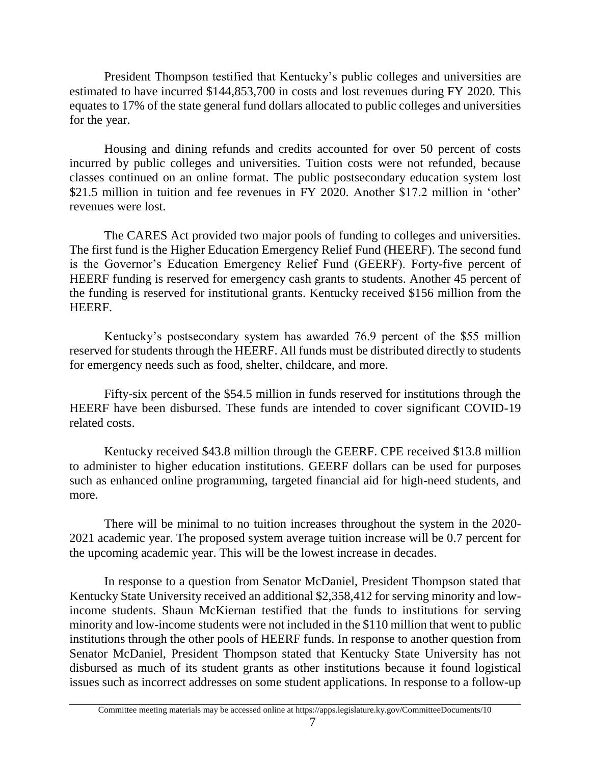President Thompson testified that Kentucky's public colleges and universities are estimated to have incurred \$144,853,700 in costs and lost revenues during FY 2020. This equates to 17% of the state general fund dollars allocated to public colleges and universities for the year.

Housing and dining refunds and credits accounted for over 50 percent of costs incurred by public colleges and universities. Tuition costs were not refunded, because classes continued on an online format. The public postsecondary education system lost \$21.5 million in tuition and fee revenues in FY 2020. Another \$17.2 million in 'other' revenues were lost.

The CARES Act provided two major pools of funding to colleges and universities. The first fund is the Higher Education Emergency Relief Fund (HEERF). The second fund is the Governor's Education Emergency Relief Fund (GEERF). Forty-five percent of HEERF funding is reserved for emergency cash grants to students. Another 45 percent of the funding is reserved for institutional grants. Kentucky received \$156 million from the HEERF.

Kentucky's postsecondary system has awarded 76.9 percent of the \$55 million reserved for students through the HEERF. All funds must be distributed directly to students for emergency needs such as food, shelter, childcare, and more.

Fifty-six percent of the \$54.5 million in funds reserved for institutions through the HEERF have been disbursed. These funds are intended to cover significant COVID-19 related costs.

Kentucky received \$43.8 million through the GEERF. CPE received \$13.8 million to administer to higher education institutions. GEERF dollars can be used for purposes such as enhanced online programming, targeted financial aid for high-need students, and more.

There will be minimal to no tuition increases throughout the system in the 2020- 2021 academic year. The proposed system average tuition increase will be 0.7 percent for the upcoming academic year. This will be the lowest increase in decades.

In response to a question from Senator McDaniel, President Thompson stated that Kentucky State University received an additional \$2,358,412 for serving minority and lowincome students. Shaun McKiernan testified that the funds to institutions for serving minority and low-income students were not included in the \$110 million that went to public institutions through the other pools of HEERF funds. In response to another question from Senator McDaniel, President Thompson stated that Kentucky State University has not disbursed as much of its student grants as other institutions because it found logistical issues such as incorrect addresses on some student applications. In response to a follow-up